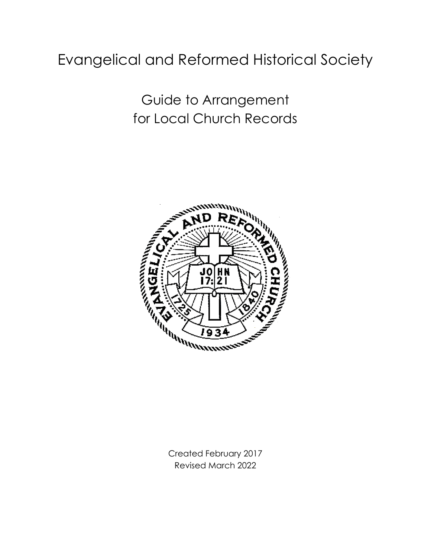# Evangelical and Reformed Historical Society

Guide to Arrangement for Local Church Records



Created February 2017 Revised March 2022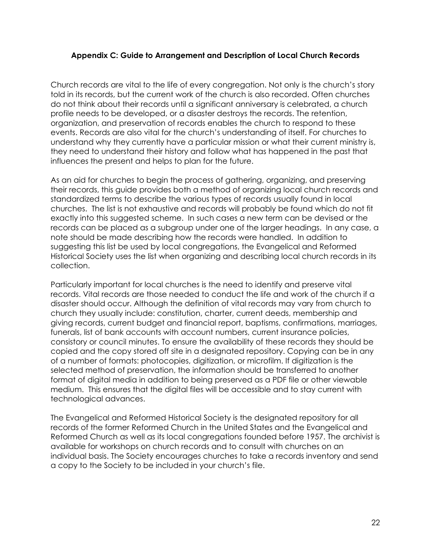#### **Appendix C: Guide to Arrangement and Description of Local Church Records**

Church records are vital to the life of every congregation. Not only is the church's story told in its records, but the current work of the church is also recorded. Often churches do not think about their records until a significant anniversary is celebrated, a church profile needs to be developed, or a disaster destroys the records. The retention, organization, and preservation of records enables the church to respond to these events. Records are also vital for the church's understanding of itself. For churches to understand why they currently have a particular mission or what their current ministry is, they need to understand their history and follow what has happened in the past that influences the present and helps to plan for the future.

As an aid for churches to begin the process of gathering, organizing, and preserving their records, this guide provides both a method of organizing local church records and standardized terms to describe the various types of records usually found in local churches. The list is not exhaustive and records will probably be found which do not fit exactly into this suggested scheme. In such cases a new term can be devised or the records can be placed as a subgroup under one of the larger headings. In any case, a note should be made describing how the records were handled. In addition to suggesting this list be used by local congregations, the Evangelical and Reformed Historical Society uses the list when organizing and describing local church records in its collection.

Particularly important for local churches is the need to identify and preserve vital records. Vital records are those needed to conduct the life and work of the church if a disaster should occur. Although the definition of vital records may vary from church to church they usually include: constitution, charter, current deeds, membership and giving records, current budget and financial report, baptisms, confirmations, marriages, funerals, list of bank accounts with account numbers, current insurance policies, consistory or council minutes. To ensure the availability of these records they should be copied and the copy stored off site in a designated repository. Copying can be in any of a number of formats: photocopies, digitization, or microfilm. If digitization is the selected method of preservation, the information should be transferred to another format of digital media in addition to being preserved as a PDF file or other viewable medium. This ensures that the digital files will be accessible and to stay current with technological advances.

The Evangelical and Reformed Historical Society is the designated repository for all records of the former Reformed Church in the United States and the Evangelical and Reformed Church as well as its local congregations founded before 1957. The archivist is available for workshops on church records and to consult with churches on an individual basis. The Society encourages churches to take a records inventory and send a copy to the Society to be included in your church's file.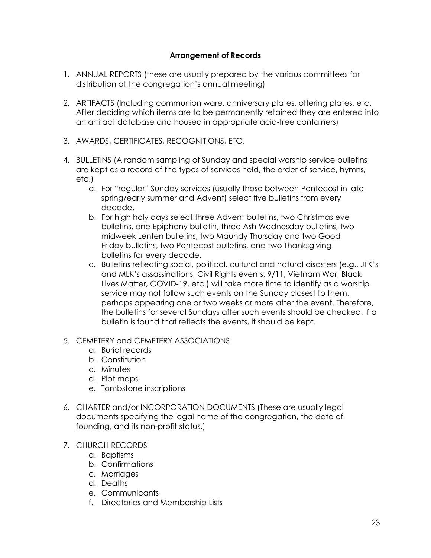# **Arrangement of Records**

- 1. ANNUAL REPORTS (these are usually prepared by the various committees for distribution at the congregation's annual meeting)
- 2. ARTIFACTS (Including communion ware, anniversary plates, offering plates, etc. After deciding which items are to be permanently retained they are entered into an artifact database and housed in appropriate acid-free containers)
- 3. AWARDS, CERTIFICATES, RECOGNITIONS, ETC.
- 4. BULLETINS (A random sampling of Sunday and special worship service bulletins are kept as a record of the types of services held, the order of service, hymns, etc.)
	- a. For "regular" Sunday services (usually those between Pentecost in late spring/early summer and Advent) select five bulletins from every decade.
	- b. For high holy days select three Advent bulletins, two Christmas eve bulletins, one Epiphany bulletin, three Ash Wednesday bulletins, two midweek Lenten bulletins, two Maundy Thursday and two Good Friday bulletins, two Pentecost bulletins, and two Thanksgiving bulletins for every decade.
	- c. Bulletins reflecting social, political, cultural and natural disasters (e.g., JFK's and MLK's assassinations, Civil Rights events, 9/11, Vietnam War, Black Lives Matter, COVID-19, etc.) will take more time to identify as a worship service may not follow such events on the Sunday closest to them, perhaps appearing one or two weeks or more after the event. Therefore, the bulletins for several Sundays after such events should be checked. If a bulletin is found that reflects the events, it should be kept.
- 5. CEMETERY and CEMETERY ASSOCIATIONS
	- a. Burial records
	- b. Constitution
	- c. Minutes
	- d. Plot maps
	- e. Tombstone inscriptions
- 6. CHARTER and/or INCORPORATION DOCUMENTS (These are usually legal documents specifying the legal name of the congregation, the date of founding, and its non-profit status.)
- 7. CHURCH RECORDS
	- a. Baptisms
	- b. Confirmations
	- c. Marriages
	- d. Deaths
	- e. Communicants
	- f. Directories and Membership Lists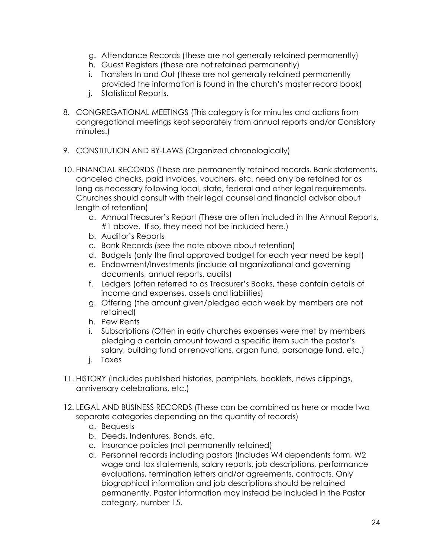- g. Attendance Records (these are not generally retained permanently)
- h. Guest Registers (these are not retained permanently)
- i. Transfers In and Out (these are not generally retained permanently provided the information is found in the church's master record book)
- j. Statistical Reports.
- 8. CONGREGATIONAL MEETINGS (This category is for minutes and actions from congregational meetings kept separately from annual reports and/or Consistory minutes.)
- 9. CONSTITUTION AND BY-LAWS (Organized chronologically)
- 10. FINANCIAL RECORDS (These are permanently retained records. Bank statements, canceled checks, paid invoices, vouchers, etc. need only be retained for as long as necessary following local, state, federal and other legal requirements. Churches should consult with their legal counsel and financial advisor about length of retention)
	- a. Annual Treasurer's Report (These are often included in the Annual Reports, #1 above. If so, they need not be included here.)
	- b. Auditor's Reports
	- c. Bank Records (see the note above about retention)
	- d. Budgets (only the final approved budget for each year need be kept)
	- e. Endowment/Investments (include all organizational and governing documents, annual reports, audits)
	- f. Ledgers (often referred to as Treasurer's Books, these contain details of income and expenses, assets and liabilities)
	- g. Offering (the amount given/pledged each week by members are not retained)
	- h. Pew Rents
	- i. Subscriptions (Often in early churches expenses were met by members pledging a certain amount toward a specific item such the pastor's salary, building fund or renovations, organ fund, parsonage fund, etc.)
	- j. Taxes
- 11. HISTORY (Includes published histories, pamphlets, booklets, news clippings, anniversary celebrations, etc.)
- 12. LEGAL AND BUSINESS RECORDS (These can be combined as here or made two separate categories depending on the quantity of records)
	- a. Bequests
	- b. Deeds, Indentures, Bonds, etc.
	- c. Insurance policies (not permanently retained)
	- d. Personnel records including pastors (Includes W4 dependents form, W2 wage and tax statements, salary reports, job descriptions, performance evaluations, termination letters and/or agreements, contracts. Only biographical information and job descriptions should be retained permanently. Pastor information may instead be included in the Pastor category, number 15.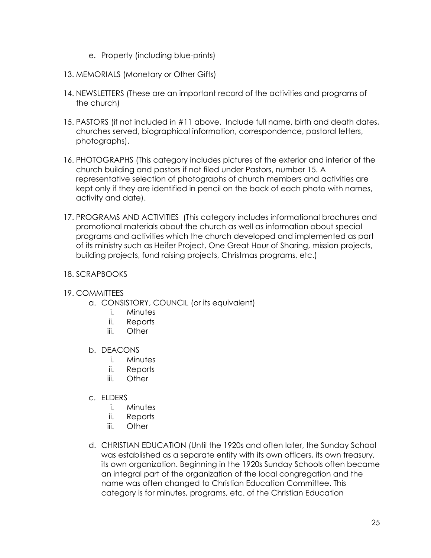- e. Property (including blue-prints)
- 13. MEMORIALS (Monetary or Other Gifts)
- 14. NEWSLETTERS (These are an important record of the activities and programs of the church)
- 15. PASTORS (if not included in #11 above. Include full name, birth and death dates, churches served, biographical information, correspondence, pastoral letters, photographs).
- 16. PHOTOGRAPHS (This category includes pictures of the exterior and interior of the church building and pastors if not filed under Pastors, number 15. A representative selection of photographs of church members and activities are kept only if they are identified in pencil on the back of each photo with names, activity and date).
- 17. PROGRAMS AND ACTIVITIES (This category includes informational brochures and promotional materials about the church as well as information about special programs and activities which the church developed and implemented as part of its ministry such as Heifer Project, One Great Hour of Sharing, mission projects, building projects, fund raising projects, Christmas programs, etc.)

# 18. SCRAPBOOKS

# 19. COMMITTEES

- a. CONSISTORY, COUNCIL (or its equivalent)
	- i. Minutes
	- ii. Reports
	- iii. Other
- b. DEACONS
	- i. Minutes
	- ii. Reports
	- iii. Other
- c. ELDERS
	- i. Minutes
	- ii. Reports
	- iii. Other
- d. CHRISTIAN EDUCATION (Until the 1920s and often later, the Sunday School was established as a separate entity with its own officers, its own treasury, its own organization. Beginning in the 1920s Sunday Schools often became an integral part of the organization of the local congregation and the name was often changed to Christian Education Committee. This category is for minutes, programs, etc. of the Christian Education